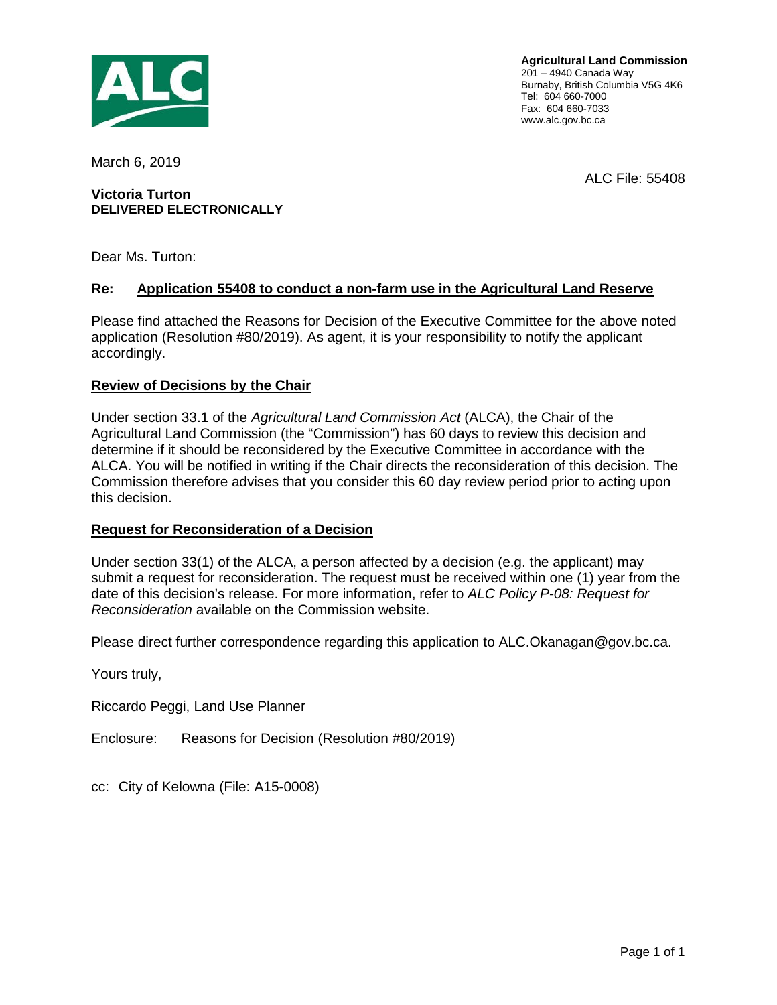

**Agricultural Land Commission** 201 – 4940 Canada Way Burnaby, British Columbia V5G 4K6 Tel: 604 660-7000 Fax: 604 660-7033 www.alc.gov.bc.ca

March 6, 2019

#### **Victoria Turton DELIVERED ELECTRONICALLY**

Dear Ms. Turton:

#### **Re: Application 55408 to conduct a non-farm use in the Agricultural Land Reserve**

Please find attached the Reasons for Decision of the Executive Committee for the above noted application (Resolution #80/2019). As agent, it is your responsibility to notify the applicant accordingly.

#### **Review of Decisions by the Chair**

Under section 33.1 of the *Agricultural Land Commission Act* (ALCA), the Chair of the Agricultural Land Commission (the "Commission") has 60 days to review this decision and determine if it should be reconsidered by the Executive Committee in accordance with the ALCA. You will be notified in writing if the Chair directs the reconsideration of this decision. The Commission therefore advises that you consider this 60 day review period prior to acting upon this decision.

#### **Request for Reconsideration of a Decision**

Under section 33(1) of the ALCA, a person affected by a decision (e.g. the applicant) may submit a request for reconsideration. The request must be received within one (1) year from the date of this decision's release. For more information, refer to *ALC Policy P-08: Request for Reconsideration* available on the Commission website.

Please direct further correspondence regarding this application to ALC.Okanagan@gov.bc.ca.

Yours truly,

Riccardo Peggi, Land Use Planner

Enclosure: Reasons for Decision (Resolution #80/2019)

cc: City of Kelowna (File: A15-0008)

ALC File: 55408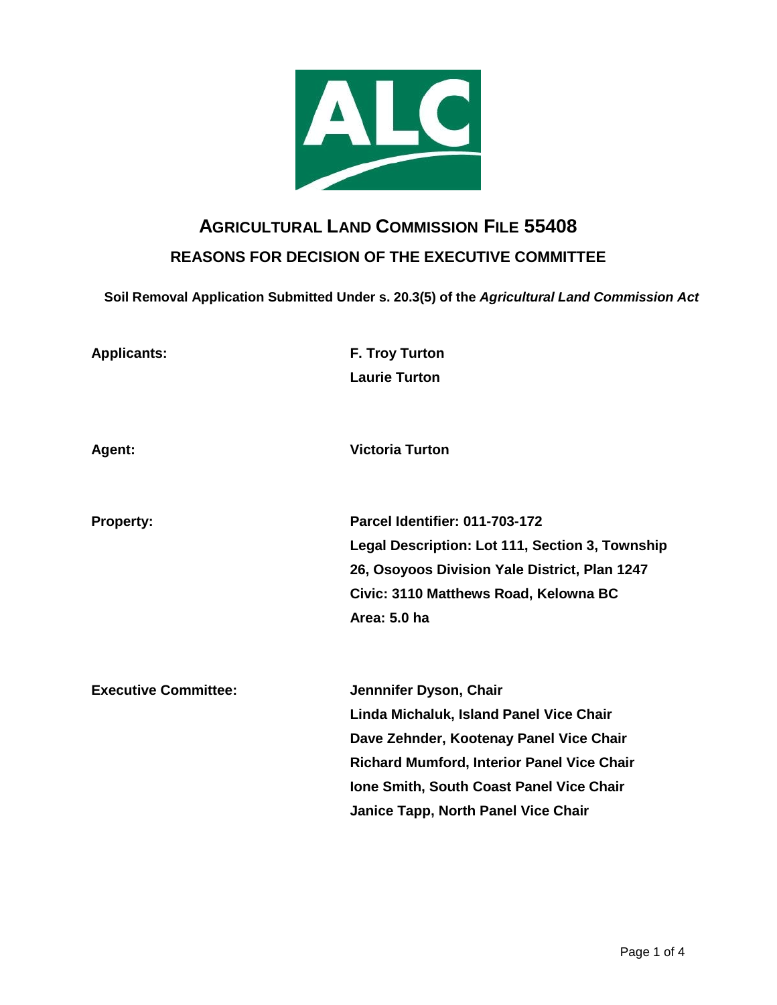

# **AGRICULTURAL LAND COMMISSION FILE 55408 REASONS FOR DECISION OF THE EXECUTIVE COMMITTEE**

**Soil Removal Application Submitted Under s. 20.3(5) of the** *Agricultural Land Commission Act*

| <b>Applicants:</b>          | <b>F. Troy Turton</b><br><b>Laurie Turton</b>                                                                                                                                                                                                        |
|-----------------------------|------------------------------------------------------------------------------------------------------------------------------------------------------------------------------------------------------------------------------------------------------|
| Agent:                      | <b>Victoria Turton</b>                                                                                                                                                                                                                               |
| <b>Property:</b>            | <b>Parcel Identifier: 011-703-172</b><br>Legal Description: Lot 111, Section 3, Township<br>26, Osoyoos Division Yale District, Plan 1247<br>Civic: 3110 Matthews Road, Kelowna BC<br>Area: 5.0 ha                                                   |
| <b>Executive Committee:</b> | Jennnifer Dyson, Chair<br>Linda Michaluk, Island Panel Vice Chair<br>Dave Zehnder, Kootenay Panel Vice Chair<br>Richard Mumford, Interior Panel Vice Chair<br>Ione Smith, South Coast Panel Vice Chair<br><b>Janice Tapp, North Panel Vice Chair</b> |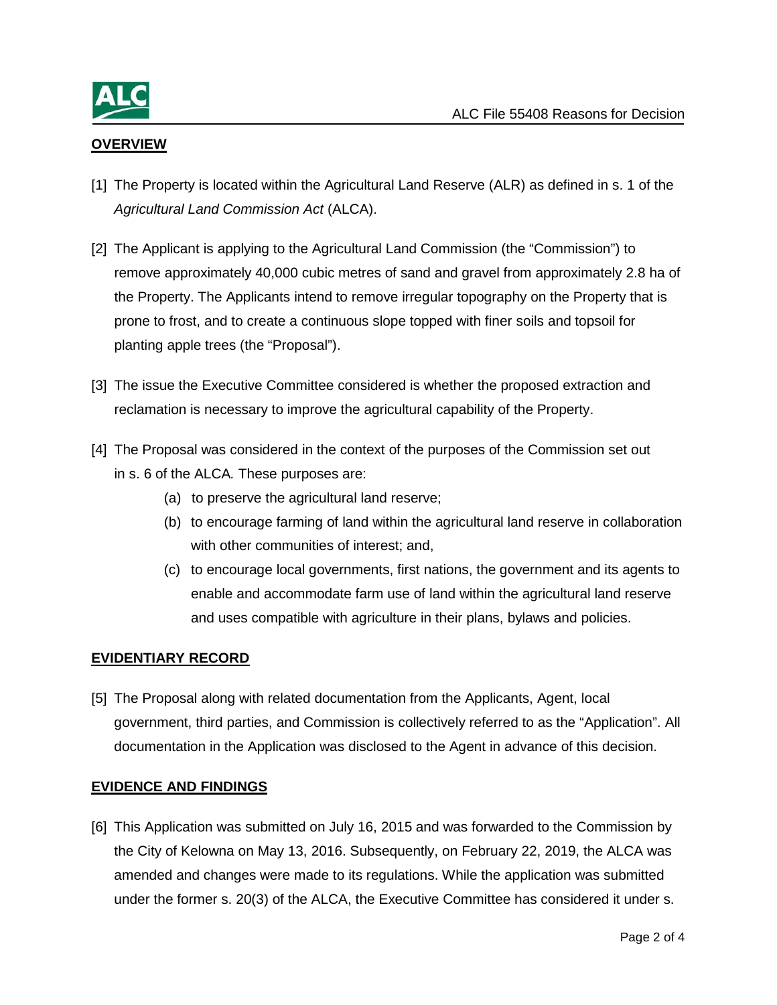

# **OVERVIEW**

- [1] The Property is located within the Agricultural Land Reserve (ALR) as defined in s. 1 of the *Agricultural Land Commission Act* (ALCA).
- [2] The Applicant is applying to the Agricultural Land Commission (the "Commission") to remove approximately 40,000 cubic metres of sand and gravel from approximately 2.8 ha of the Property. The Applicants intend to remove irregular topography on the Property that is prone to frost, and to create a continuous slope topped with finer soils and topsoil for planting apple trees (the "Proposal").
- [3] The issue the Executive Committee considered is whether the proposed extraction and reclamation is necessary to improve the agricultural capability of the Property.
- [4] The Proposal was considered in the context of the purposes of the Commission set out in s. 6 of the ALCA*.* These purposes are:
	- (a) to preserve the agricultural land reserve;
	- (b) to encourage farming of land within the agricultural land reserve in collaboration with other communities of interest; and,
	- (c) to encourage local governments, first nations, the government and its agents to enable and accommodate farm use of land within the agricultural land reserve and uses compatible with agriculture in their plans, bylaws and policies.

## **EVIDENTIARY RECORD**

[5] The Proposal along with related documentation from the Applicants, Agent, local government, third parties, and Commission is collectively referred to as the "Application". All documentation in the Application was disclosed to the Agent in advance of this decision.

## **EVIDENCE AND FINDINGS**

[6] This Application was submitted on July 16, 2015 and was forwarded to the Commission by the City of Kelowna on May 13, 2016. Subsequently, on February 22, 2019, the ALCA was amended and changes were made to its regulations. While the application was submitted under the former s. 20(3) of the ALCA, the Executive Committee has considered it under s.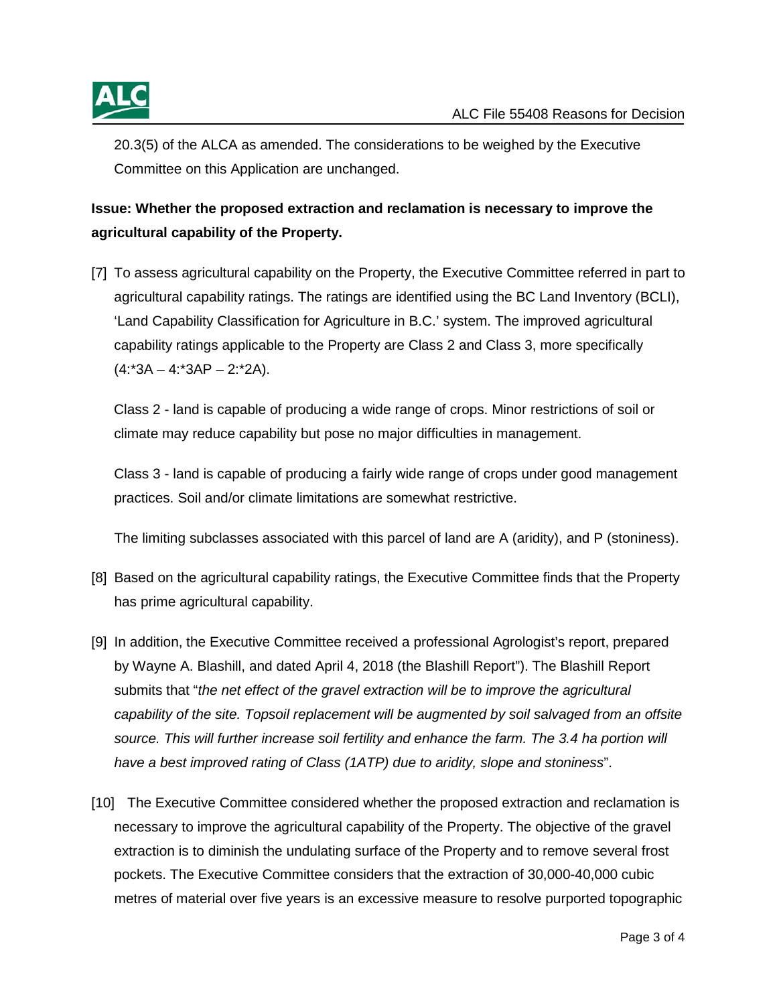20.3(5) of the ALCA as amended. The considerations to be weighed by the Executive Committee on this Application are unchanged.

# **Issue: Whether the proposed extraction and reclamation is necessary to improve the agricultural capability of the Property.**

[7] To assess agricultural capability on the Property, the Executive Committee referred in part to agricultural capability ratings. The ratings are identified using the BC Land Inventory (BCLI), 'Land Capability Classification for Agriculture in B.C.' system. The improved agricultural capability ratings applicable to the Property are Class 2 and Class 3, more specifically  $(4:3A - 4:3AP - 2:2A).$ 

Class 2 - land is capable of producing a wide range of crops. Minor restrictions of soil or climate may reduce capability but pose no major difficulties in management.

Class 3 - land is capable of producing a fairly wide range of crops under good management practices. Soil and/or climate limitations are somewhat restrictive.

The limiting subclasses associated with this parcel of land are A (aridity), and P (stoniness).

- [8] Based on the agricultural capability ratings, the Executive Committee finds that the Property has prime agricultural capability.
- [9] In addition, the Executive Committee received a professional Agrologist's report, prepared by Wayne A. Blashill, and dated April 4, 2018 (the Blashill Report"). The Blashill Report submits that "*the net effect of the gravel extraction will be to improve the agricultural capability of the site. Topsoil replacement will be augmented by soil salvaged from an offsite*  source. This will further increase soil fertility and enhance the farm. The 3.4 ha portion will *have a best improved rating of Class (1ATP) due to aridity, slope and stoniness*".
- [10] The Executive Committee considered whether the proposed extraction and reclamation is necessary to improve the agricultural capability of the Property. The objective of the gravel extraction is to diminish the undulating surface of the Property and to remove several frost pockets. The Executive Committee considers that the extraction of 30,000-40,000 cubic metres of material over five years is an excessive measure to resolve purported topographic